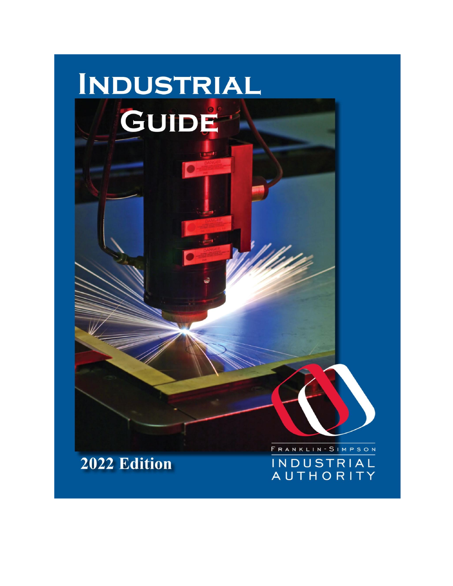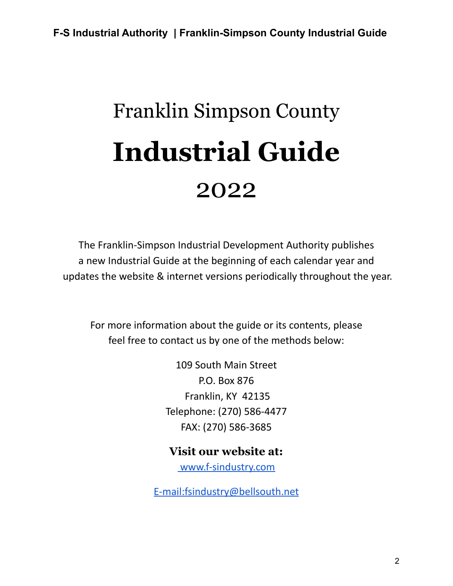# Franklin Simpson County **Industrial Guide** 2022

The Franklin-Simpson Industrial Development Authority publishes a new Industrial Guide at the beginning of each calendar year and updates the website & internet versions periodically throughout the year.

For more information about the guide or its contents, please feel free to contact us by one of the methods below:

> 109 South Main Street P.O. Box 876 Franklin, KY 42135 Telephone: (270) 586-4477 FAX: (270) 586-3685

**Visit our website at:**

[www.f-sindustry.com](http://www.f-sindustry.com)

[E-mail:fsindustry@bellsouth.net](http://www.f-sindustry.comE-mail:fsindustry@bellsouth.net)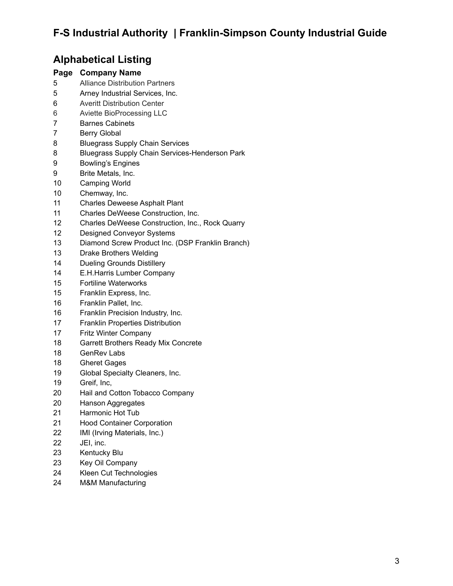### **Alphabetical Listing**

#### **Page Company Name**

- Alliance Distribution Partners
- Arney Industrial Services, Inc.
- Averitt Distribution Center
- Aviette BioProcessing LLC
- Barnes Cabinets
- Berry Global
- Bluegrass Supply Chain Services
- Bluegrass Supply Chain Services-Henderson Park
- Bowling's Engines
- Brite Metals, Inc.
- Camping World
- Chemway, Inc.
- Charles Deweese Asphalt Plant
- Charles DeWeese Construction, Inc.
- Charles DeWeese Construction, Inc., Rock Quarry
- Designed Conveyor Systems
- Diamond Screw Product Inc. (DSP Franklin Branch)
- Drake Brothers Welding
- Dueling Grounds Distillery
- E.H.Harris Lumber Company
- Fortiline Waterworks
- Franklin Express, Inc.
- Franklin Pallet, Inc.
- Franklin Precision Industry, Inc.
- Franklin Properties Distribution
- Fritz Winter Company
- Garrett Brothers Ready Mix Concrete
- GenRev Labs
- Gheret Gages
- Global Specialty Cleaners, Inc.
- Greif, Inc,
- Hail and Cotton Tobacco Company
- Hanson Aggregates
- Harmonic Hot Tub
- Hood Container Corporation
- IMI (Irving Materials, Inc.)
- JEI, inc.
- Kentucky Blu
- Key Oil Company
- Kleen Cut Technologies
- M&M Manufacturing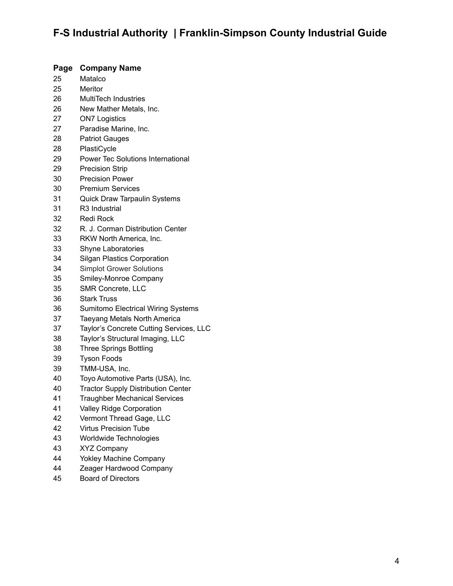#### **Page Company Name**

- Matalco
- Meritor
- MultiTech Industries
- New Mather Metals, Inc.
- ON7 Logistics
- Paradise Marine, Inc.
- Patriot Gauges
- PlastiCycle
- Power Tec Solutions International
- Precision Strip
- Precision Power
- Premium Services
- Quick Draw Tarpaulin Systems
- R3 Industrial
- Redi Rock
- R. J. Corman Distribution Center
- RKW North America, Inc.
- Shyne Laboratories
- Silgan Plastics Corporation
- Simplot Grower Solutions
- Smiley-Monroe Company
- SMR Concrete, LLC
- Stark Truss
- Sumitomo Electrical Wiring Systems
- Taeyang Metals North America
- Taylor's Concrete Cutting Services, LLC
- Taylor's Structural Imaging, LLC
- Three Springs Bottling
- Tyson Foods
- TMM-USA, Inc.
- Toyo Automotive Parts (USA), Inc.
- Tractor Supply Distribution Center
- Traughber Mechanical Services
- Valley Ridge Corporation
- Vermont Thread Gage, LLC
- Virtus Precision Tube
- Worldwide Technologies
- XYZ Company
- Yokley Machine Company
- Zeager Hardwood Company
- Board of Directors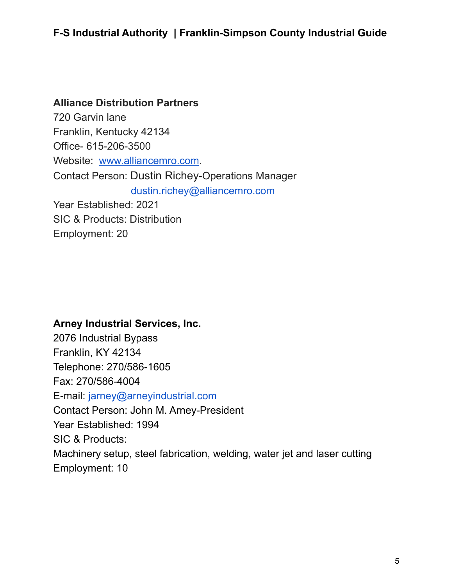#### **Alliance Distribution Partners**

720 Garvin lane Franklin, Kentucky 42134 Office- 615-206-3500 Website: [www.alliancemro.com](http://www.alliancemro.com/). Contact Person: Dustin Richey-Operations Manager dustin.richey@alliancemro.com Year Established: 2021 SIC & Products: Distribution Employment: 20

#### **Arney Industrial Services, Inc.**

2076 Industrial Bypass Franklin, KY 42134 Telephone: 270/586-1605 Fax: 270/586-4004 E-mail: [jarney@arneyindustrial.com](mailto:jarney@arneyindustrial.com) Contact Person: John M. Arney-President Year Established: 1994 SIC & Products: Machinery setup, steel fabrication, welding, water jet and laser cutting Employment: 10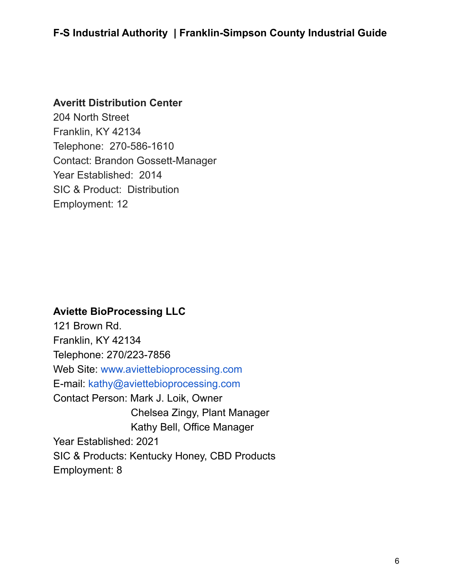#### **Averitt Distribution Center**

204 North Street Franklin, KY 42134 Telephone: 270-586-1610 Contact: Brandon Gossett-Manager Year Established: 2014 SIC & Product: Distribution Employment: 12

#### **Aviette BioProcessing LLC**

121 Brown Rd. Franklin, KY 42134 Telephone: 270/223-7856 Web Site: [www.aviettebioprocessing.com](http://www.aviettebioprocessing.com) E-mail: [kathy@aviettebioprocessing.com](mailto:info@aviettebioprocessing.com) Contact Person: Mark J. Loik, Owner Chelsea Zingy, Plant Manager Kathy Bell, Office Manager Year Established: 2021 SIC & Products: Kentucky Honey, CBD Products Employment: 8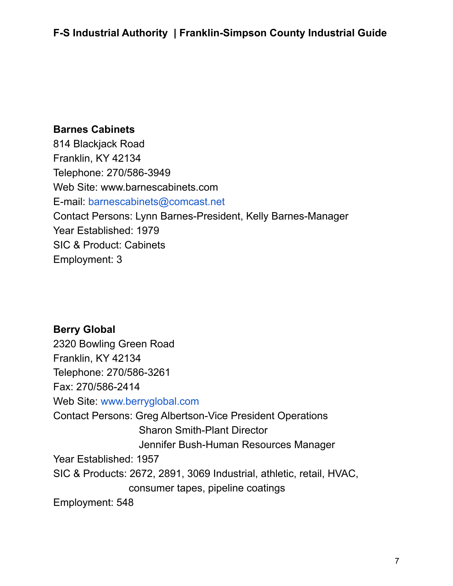#### **Barnes Cabinets**

814 Blackjack Road Franklin, KY 42134 Telephone: 270/586-3949 Web Site: www.barnescabinets.com E-mail: [barnescabinets@comcast.net](mailto:barnescabinets@comcast.net) Contact Persons: Lynn Barnes-President, Kelly Barnes-Manager Year Established: 1979 SIC & Product: Cabinets Employment: 3

### **Berry Global**

2320 Bowling Green Road Franklin, KY 42134 Telephone: 270/586-3261 Fax: 270/586-2414 Web Site: [www.berryglobal.com](http://www.berryglobal.com) Contact Persons: Greg Albertson-Vice President Operations Sharon Smith-Plant Director Jennifer Bush-Human Resources Manager Year Established: 1957 SIC & Products: 2672, 2891, 3069 Industrial, athletic, retail, HVAC, consumer tapes, pipeline coatings Employment: 548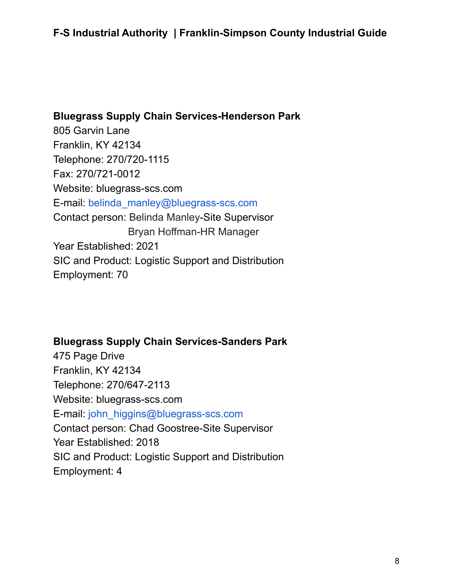**Bluegrass Supply Chain Services-Henderson Park** 805 Garvin Lane Franklin, KY 42134 Telephone: 270/720-1115 Fax: 270/721-0012 Website: bluegrass-scs.com E-mail: [belinda\\_manley@bluegrass-scs.com](mailto:belinda_manley@bluegrass-scs.com) Contact person: Belinda Manley-Site Supervisor Bryan Hoffman-HR Manager Year Established: 2021 SIC and Product: Logistic Support and Distribution Employment: 70

#### **Bluegrass Supply Chain Services-Sanders Park**

475 Page Drive Franklin, KY 42134 Telephone: 270/647-2113 Website: bluegrass-scs.com E-mail: [john\\_higgins@bluegrass-scs.com](mailto:john_higgins@bluegrass-scs.com) Contact person: Chad Goostree-Site Supervisor Year Established: 2018 SIC and Product: Logistic Support and Distribution Employment: 4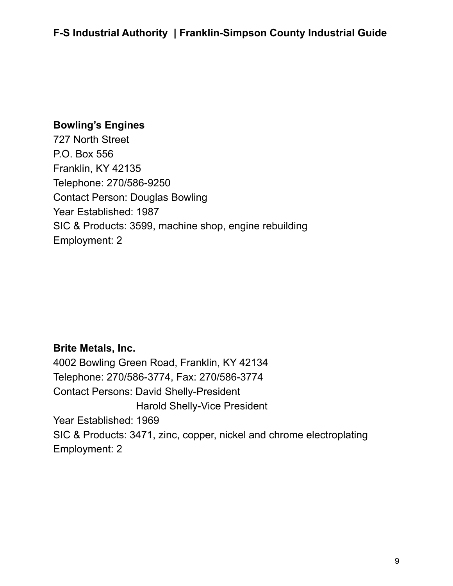### **Bowling's Engines**

727 North Street P.O. Box 556 Franklin, KY 42135 Telephone: 270/586-9250 Contact Person: Douglas Bowling Year Established: 1987 SIC & Products: 3599, machine shop, engine rebuilding Employment: 2

### **Brite Metals, Inc.**

4002 Bowling Green Road, Franklin, KY 42134 Telephone: 270/586-3774, Fax: 270/586-3774 Contact Persons: David Shelly-President Harold Shelly-Vice President Year Established: 1969 SIC & Products: 3471, zinc, copper, nickel and chrome electroplating Employment: 2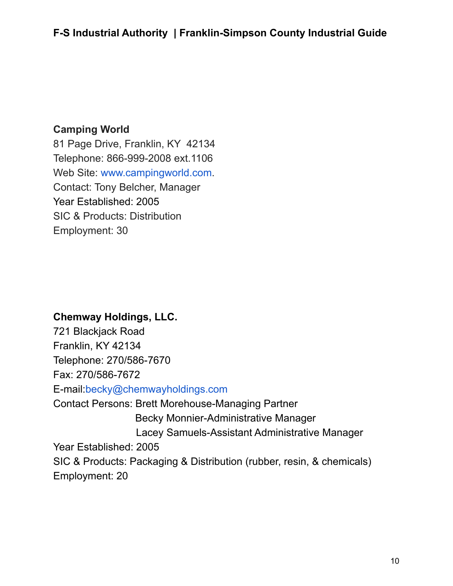### **Camping World**

81 Page Drive, Franklin, KY 42134 Telephone: 866-999-2008 ext.1106 Web Site: [www.campingworld.com](http://www.campingworld.com/). Contact: Tony Belcher, Manager Year Established: 2005 SIC & Products: Distribution Employment: 30

### **Chemway Holdings, LLC.**

721 Blackjack Road Franklin, KY 42134 Telephone: 270/586-7670 Fax: 270/586-7672 E-mail:[becky@chemwayholdings.com](mailto:becky@chemwayholdings.com) Contact Persons: Brett Morehouse-Managing Partner Becky Monnier-Administrative Manager Lacey Samuels-Assistant Administrative Manager Year Established: 2005 SIC & Products: Packaging & Distribution (rubber, resin, & chemicals) Employment: 20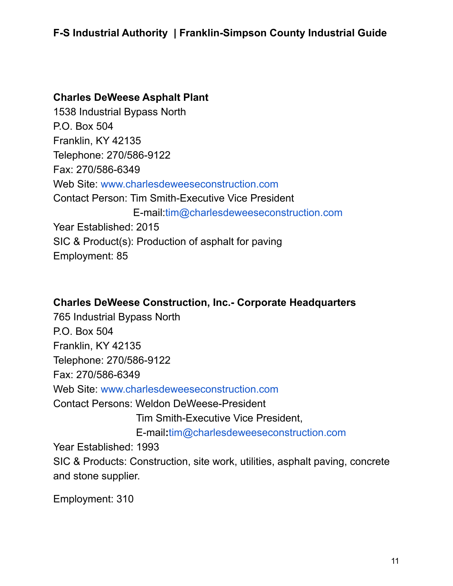#### **Charles DeWeese Asphalt Plant**

1538 Industrial Bypass North P.O. Box 504 Franklin, KY 42135 Telephone: 270/586-9122 Fax: 270/586-6349 Web Site: [www.charlesdeweeseconstruction.com](http://www.charlesdeweeseconstruction.com) Contact Person: Tim Smith-Executive Vice President E-mail:[tim@charlesdeweeseconstruction.com](mailto:tim@charlesdeweeseconstruction.com) Year Established: 2015 SIC & Product(s): Production of asphalt for paving Employment: 85

### **Charles DeWeese Construction, Inc.- Corporate Headquarters**

765 Industrial Bypass North P.O. Box 504 Franklin, KY 42135 Telephone: 270/586-9122 Fax: 270/586-6349 Web Site: [www.charlesdeweeseconstruction.com](http://www.charlesdeweeseconstruction.com) Contact Persons: Weldon DeWeese-President Tim Smith-Executive Vice President, E-mail**:**[tim@charlesdeweeseconstruction.com](mailto:tim@charlesdeweeseconstruction.com) Year Established: 1993 SIC & Products: Construction, site work, utilities, asphalt paving, concrete and stone supplier.

Employment: 310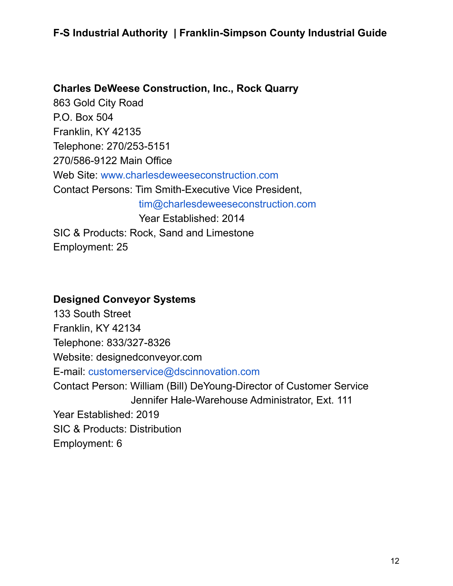#### **Charles DeWeese Construction, Inc., Rock Quarry**

863 Gold City Road P.O. Box 504 Franklin, KY 42135 Telephone: 270/253-5151 270/586-9122 Main Office Web Site: [www.charlesdeweeseconstruction.com](http://www.charlesdeweeseconstruction.com) Contact Persons: Tim Smith-Executive Vice President, [tim@charlesdeweeseconstruction.com](mailto:tim@charlesdeweeseconstruction.com) Year Established: 2014 SIC & Products: Rock, Sand and Limestone Employment: 25

#### **Designed Conveyor Systems**

133 South Street Franklin, KY 42134 Telephone: 833/327-8326 Website: designedconveyor.com E-mail: [customerservice@dscinnovation.com](mailto:customerservice@dscinnovation.com) Contact Person: William (Bill) DeYoung-Director of Customer Service Jennifer Hale-Warehouse Administrator, Ext. 111 Year Established: 2019 SIC & Products: Distribution Employment: 6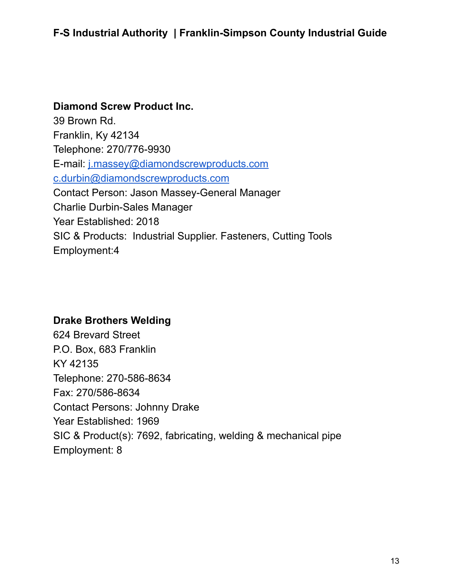#### **Diamond Screw Product Inc.**

39 Brown Rd. Franklin, Ky 42134 Telephone: 270/776-9930 E-mail: [j.massey@diamondscrewproducts.com](mailto:j.massey@diamondscrewproducts.com) [c.durbin@diamondscrewproducts.com](mailto:c.durbin@diamondscrewproducts.com) Contact Person: Jason Massey-General Manager Charlie Durbin-Sales Manager Year Established: 2018 SIC & Products: Industrial Supplier. Fasteners, Cutting Tools Employment:4

#### **Drake Brothers Welding**

624 Brevard Street P.O. Box, 683 Franklin KY 42135 Telephone: 270-586-8634 Fax: 270/586-8634 Contact Persons: Johnny Drake Year Established: 1969 SIC & Product(s): 7692, fabricating, welding & mechanical pipe Employment: 8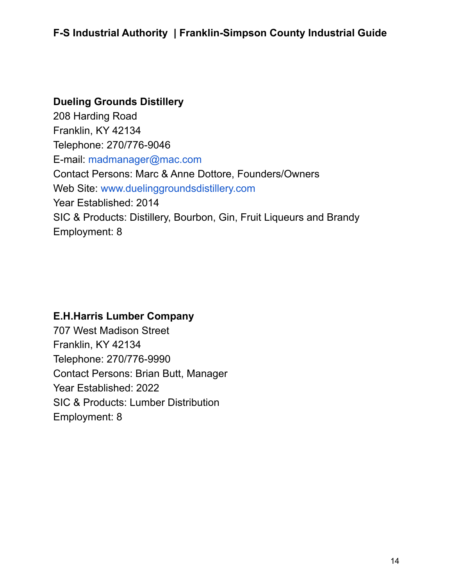#### **Dueling Grounds Distillery**

208 Harding Road Franklin, KY 42134 Telephone: 270/776-9046 E-mail: [madmanager@mac.com](mailto:madmanager@mac.com) Contact Persons: Marc & Anne Dottore, Founders/Owners Web Site: [www.duelinggroundsdistillery.com](http://www.duelinggroundsdistillery.com) Year Established: 2014 SIC & Products: Distillery, Bourbon, Gin, Fruit Liqueurs and Brandy Employment: 8

#### **E.H.Harris Lumber Company**

707 West Madison Street Franklin, KY 42134 Telephone: 270/776-9990 Contact Persons: Brian Butt, Manager Year Established: 2022 SIC & Products: Lumber Distribution Employment: 8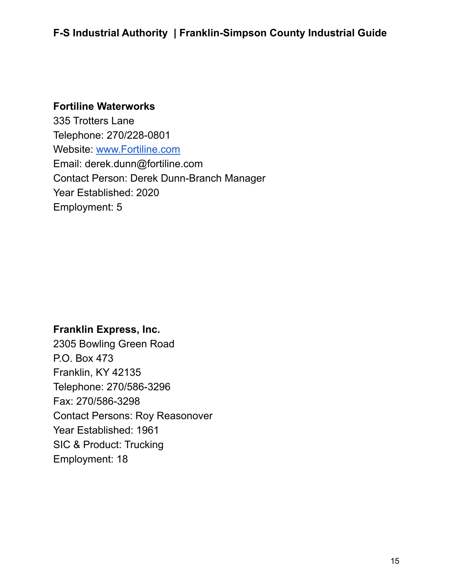#### **Fortiline Waterworks**

335 Trotters Lane Telephone: 270/228-0801 Website: [www.Fortiline.com](http://www.fortiline.com) Email: derek.dunn@fortiline.com Contact Person: Derek Dunn-Branch Manager Year Established: 2020 Employment: 5

#### **Franklin Express, Inc.**

2305 Bowling Green Road P.O. Box 473 Franklin, KY 42135 Telephone: 270/586-3296 Fax: 270/586-3298 Contact Persons: Roy Reasonover Year Established: 1961 SIC & Product: Trucking Employment: 18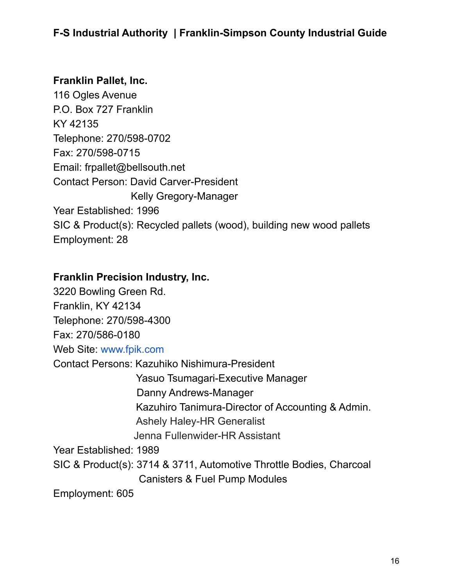#### **Franklin Pallet, Inc.**

116 Ogles Avenue P.O. Box 727 Franklin KY 42135 Telephone: 270/598-0702 Fax: 270/598-0715 Email: frpallet@bellsouth.net Contact Person: David Carver-President Kelly Gregory-Manager Year Established: 1996 SIC & Product(s): Recycled pallets (wood), building new wood pallets Employment: 28

#### **Franklin Precision Industry, Inc.**

3220 Bowling Green Rd. Franklin, KY 42134 Telephone: 270/598-4300 Fax: 270/586-0180 Web Site: [www.fpik.com](http://www.fpik.com) Contact Persons: Kazuhiko Nishimura-President Yasuo Tsumagari-Executive Manager Danny Andrews-Manager Kazuhiro Tanimura-Director of Accounting & Admin. Ashely Haley-HR Generalist Jenna Fullenwider-HR Assistant Year Established: 1989 SIC & Product(s): 3714 & 3711, Automotive Throttle Bodies, Charcoal Canisters & Fuel Pump Modules

Employment: 605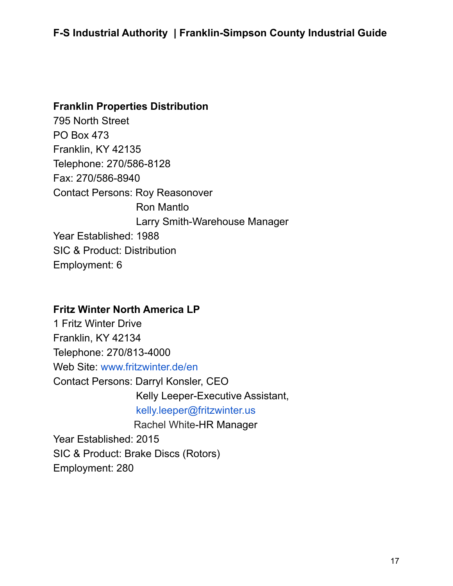#### **Franklin Properties Distribution**

795 North Street PO Box 473 Franklin, KY 42135 Telephone: 270/586-8128 Fax: 270/586-8940 Contact Persons: Roy Reasonover Ron Mantlo Larry Smith-Warehouse Manager Year Established: 1988 SIC & Product: Distribution Employment: 6

#### **Fritz Winter North America LP**

1 Fritz Winter Drive Franklin, KY 42134 Telephone: 270/813-4000 Web Site: [www.fritzwinter.de/en](http://www.fritzwinter.de/en) Contact Persons: Darryl Konsler, CEO Kelly Leeper-Executive Assistant, [kelly.leeper@fritzwinter.us](mailto:kelly.leeper@fritzwinter.us) Rachel White-HR Manager Year Established: 2015 SIC & Product: Brake Discs (Rotors) Employment: 280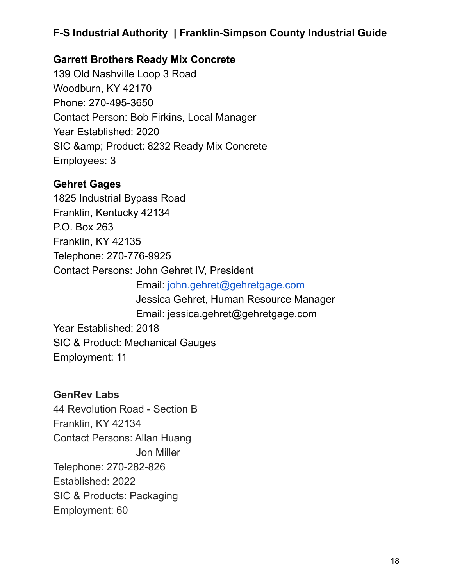### **Garrett Brothers Ready Mix Concrete**

139 Old Nashville Loop 3 Road Woodburn, KY 42170 Phone: 270-495-3650 Contact Person: Bob Firkins, Local Manager Year Established: 2020 SIC & amp; Product: 8232 Ready Mix Concrete Employees: 3

### **Gehret Gages**

1825 Industrial Bypass Road Franklin, Kentucky 42134 P.O. Box 263 Franklin, KY 42135 Telephone: 270-776-9925 Contact Persons: John Gehret IV, President Email: [john.gehret@gehretgage.com](mailto:john.gehret@gehretgage.com) Jessica Gehret, Human Resource Manager Email: jessica.gehret@gehretgage.com Year Established: 2018 SIC & Product: Mechanical Gauges Employment: 11

### **GenRev Labs**

44 Revolution Road - Section B Franklin, KY 42134 Contact Persons: Allan Huang Jon Miller Telephone: 270-282-826 Established: 2022 SIC & Products: Packaging Employment: 60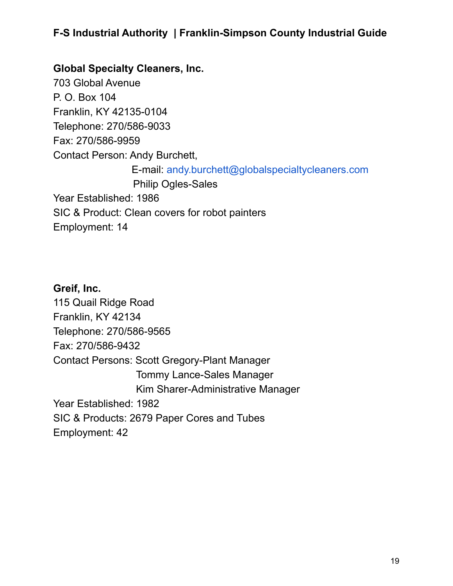#### **Global Specialty Cleaners, Inc.**

703 Global Avenue P. O. Box 104 Franklin, KY 42135-0104 Telephone: 270/586-9033 Fax: 270/586-9959 Contact Person: Andy Burchett, E-mail: [andy.burchett@globalspecialtycleaners.com](mailto:andy.burchett@globalspecialtycleaners.com) Philip Ogles-Sales Year Established: 1986 SIC & Product: Clean covers for robot painters Employment: 14

### **Greif, Inc.** 115 Quail Ridge Road Franklin, KY 42134 Telephone: 270/586-9565 Fax: 270/586-9432 Contact Persons: Scott Gregory-Plant Manager Tommy Lance-Sales Manager Kim Sharer-Administrative Manager Year Established: 1982 SIC & Products: 2679 Paper Cores and Tubes Employment: 42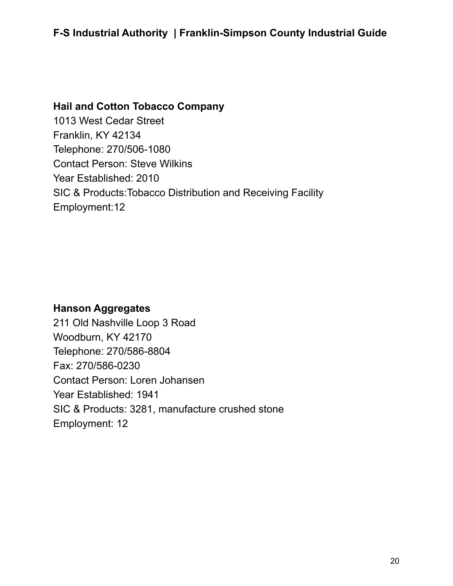#### **Hail and Cotton Tobacco Company**

1013 West Cedar Street Franklin, KY 42134 Telephone: 270/506-1080 Contact Person: Steve Wilkins Year Established: 2010 SIC & Products:Tobacco Distribution and Receiving Facility Employment:12

#### **Hanson Aggregates**

211 Old Nashville Loop 3 Road Woodburn, KY 42170 Telephone: 270/586-8804 Fax: 270/586-0230 Contact Person: Loren Johansen Year Established: 1941 SIC & Products: 3281, manufacture crushed stone Employment: 12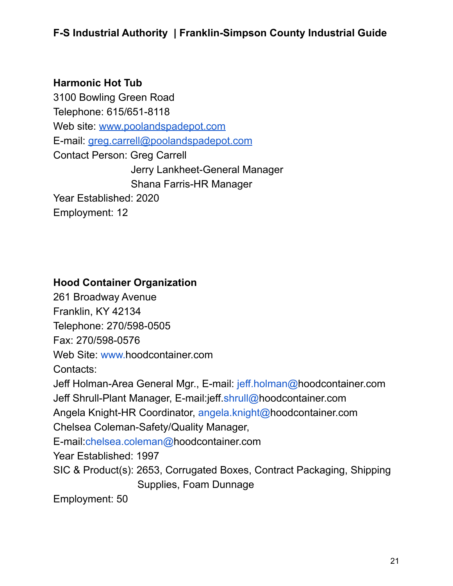### **Harmonic Hot Tub**

3100 Bowling Green Road Telephone: 615/651-8118 Web site: [www.poolandspadepot.com](http://www.poolandspadepot.com) E-mail: [greg.carrell@poolandspadepot.com](mailto:greg.carrell@poolandspadepot.com) Contact Person: Greg Carrell Jerry Lankheet-General Manager Shana Farris-HR Manager Year Established: 2020 Employment: 12

### **Hood Container Organization**

261 Broadway Avenue Franklin, KY 42134

Telephone: 270/598-0505

Fax: 270/598-0576

Web Site: [www.h](http://www.pkgunltd.com)oodcontainer.com

Contacts:

Jeff Holman-Area General Mgr., E-mail: [jeff.holman@h](mailto:jholman@pkgunltd.com)oodcontainer.com

Jeff Shrull-Plant Manager, E-mail:jeff[.shrull@](mailto:jshrull@pkgunltd.com)hoodcontainer.com

Angela Knight-HR Coordinator, [angela.knight@](mailto:aknight@pkgunltd.com)hoodcontainer.com

Chelsea Coleman-Safety/Quality Manager,

E-mail:[chelsea.coleman@h](mailto:ccoleman@pkgunltd.com)oodcontainer.com

Year Established: 1997

SIC & Product(s): 2653, Corrugated Boxes, Contract Packaging, Shipping Supplies, Foam Dunnage

Employment: 50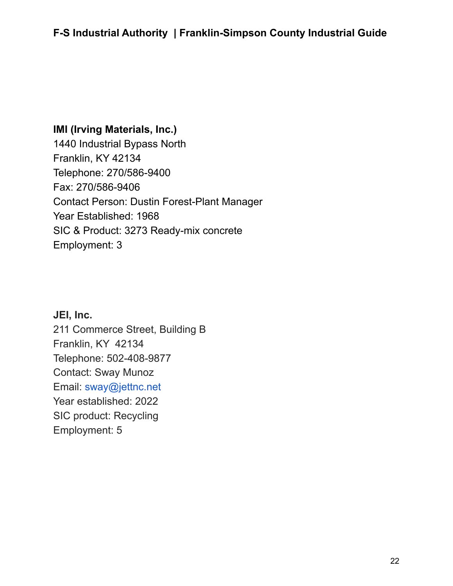### **IMI (Irving Materials, Inc.)**

1440 Industrial Bypass North Franklin, KY 42134 Telephone: 270/586-9400 Fax: 270/586-9406 Contact Person: Dustin Forest-Plant Manager Year Established: 1968 SIC & Product: 3273 Ready-mix concrete Employment: 3

**JEI, Inc.** 211 Commerce Street, Building B Franklin, KY 42134 Telephone: 502-408-9877 Contact: Sway Munoz Email: sway@jettnc.net Year established: 2022 SIC product: Recycling Employment: 5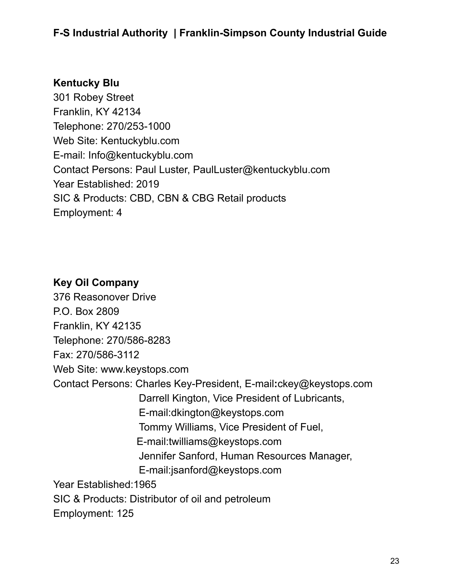#### **Kentucky Blu**

301 Robey Street Franklin, KY 42134 Telephone: 270/253-1000 Web Site: Kentuckyblu.com E-mail: Info@kentuckyblu.com Contact Persons: Paul Luster, PaulLuster@kentuckyblu.com Year Established: 2019 SIC & Products: CBD, CBN & CBG Retail products Employment: 4

### **Key Oil Company**

376 Reasonover Drive P.O. Box 2809 Franklin, KY 42135 Telephone: 270/586-8283 Fax: 270/586-3112 Web Site: [www.keystops.com](http://www.keystops.com) Contact Persons: Charles Key-President, E-mail**:**[ckey@keystops.com](mailto:ckey@keystops.com) Darrell Kington, Vice President of Lubricants, E-mail[:dkington@keystops.com](mailto:dkington@keystops.com) Tommy Williams, Vice President of Fuel, E-mail[:twilliams@keystops.com](mailto:twilliams@keystops.com) Jennifer Sanford, Human Resources Manager, E-mail[:jsanford@keystops.com](mailto:jsanford@keystops.com) Year Established:1965 SIC & Products: Distributor of oil and petroleum Employment: 125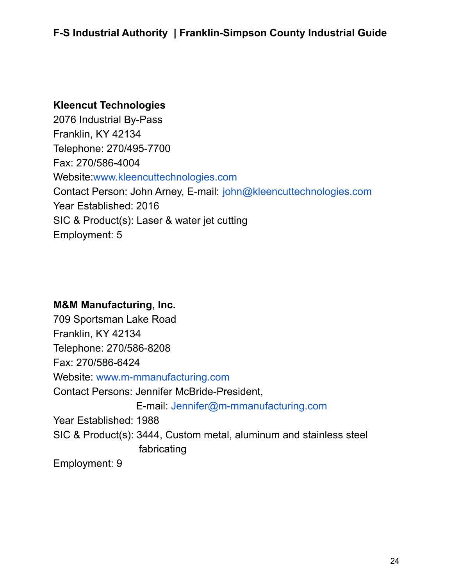#### **Kleencut Technologies**

2076 Industrial By-Pass Franklin, KY 42134 Telephone: 270/495-7700 Fax: 270/586-4004 Website[:www.kleencuttechnologies.com](http://www.kleencuttechnologies.com) Contact Person: John Arney, E-mail: [john@kleencuttechnologies.com](mailto:john@kleencuttechnologies.com) Year Established: 2016 SIC & Product(s): Laser & water jet cutting Employment: 5

#### **M&M Manufacturing, Inc.**

709 Sportsman Lake Road Franklin, KY 42134 Telephone: 270/586-8208 Fax: 270/586-6424 Website: [www.m-mmanufacturing.com](http://www.m-mmanufacturing.com) Contact Persons: Jennifer McBride-President, E-mail: [Jennifer@m-mmanufacturing.com](mailto:Jennifer@m-mmanufacturing.com) Year Established: 1988 SIC & Product(s): 3444, Custom metal, aluminum and stainless steel fabricating Employment: 9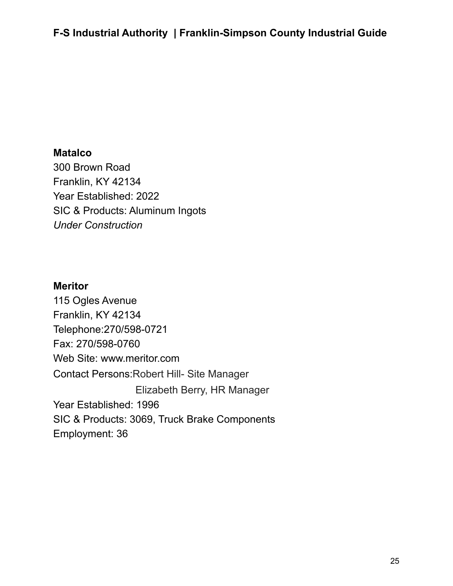#### **Matalco**

300 Brown Road Franklin, KY 42134 Year Established: 2022 SIC & Products: Aluminum Ingots *Under Construction*

#### **Meritor**

115 Ogles Avenue Franklin, KY 42134 Telephone:270/598-0721 Fax: 270/598-0760 Web Site: www.meritor.com Contact Persons:Robert Hill- Site Manager Elizabeth Berry, HR Manager Year Established: 1996 SIC & Products: 3069, Truck Brake Components Employment: 36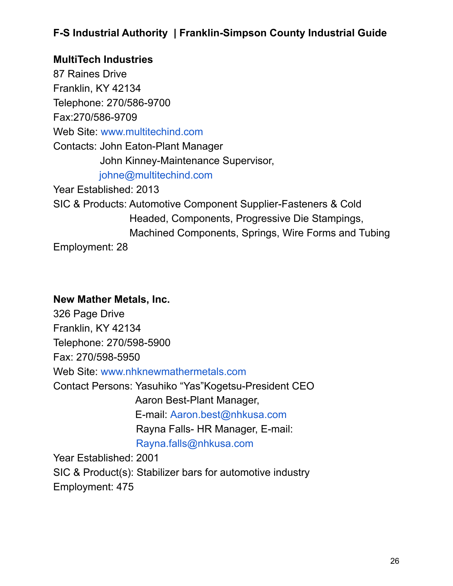### **MultiTech Industries** 87 Raines Drive Franklin, KY 42134 Telephone: 270/586-9700 Fax:270/586-9709 Web Site: [www.multitechind.com](http://www.multitechind.com) Contacts: John Eaton-Plant Manager John Kinney-Maintenance Supervisor, [johne@multitechind.com](mailto:mky@multitechind.com) Year Established: 2013 SIC & Products: Automotive Component Supplier-Fasteners & Cold Headed, Components, Progressive Die Stampings, Machined Components, Springs, Wire Forms and Tubing Employment: 28

#### **New Mather Metals, Inc.**

326 Page Drive Franklin, KY 42134 Telephone: 270/598-5900 Fax: 270/598-5950 Web Site: [www.nhknewmathermetals.com](http://www.nhknewmathermetals.com) Contact Persons: Yasuhiko "Yas"Kogetsu-President CEO Aaron Best-Plant Manager, E-mail: [Aaron.best@nhkusa.com](mailto:Aaron.best@nhkusa.com) Rayna Falls- HR Manager, E-mail: [Rayna.falls@nhkusa.com](mailto:Rayna.falls@nhkusa.com) Year Established: 2001

SIC & Product(s): Stabilizer bars for automotive industry Employment: 475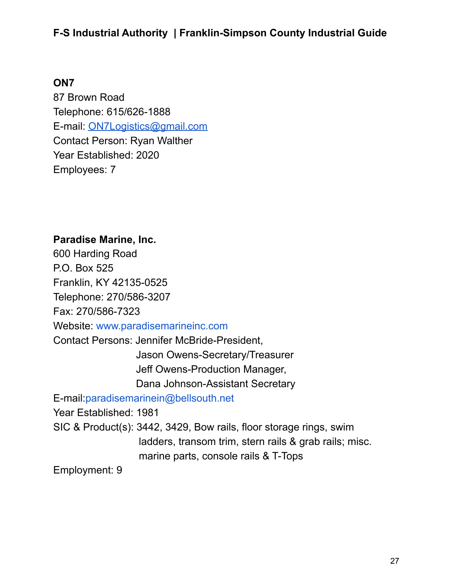#### **ON7**

87 Brown Road Telephone: 615/626-1888 E-mail: [ON7Logistics@gmail.com](mailto:ON7Logistics@gmail.com) Contact Person: Ryan Walther Year Established: 2020 Employees: 7

#### **Paradise Marine, Inc.**

600 Harding Road P.O. Box 525 Franklin, KY 42135-0525 Telephone: 270/586-3207 Fax: 270/586-7323 Website: [www.paradisemarineinc.com](http://www.paradisemarineinc.com) Contact Persons: Jennifer McBride-President, Jason Owens-Secretary/Treasurer Jeff Owens-Production Manager, Dana Johnson-Assistant Secretary E-mail:[paradisemarinein@bellsouth.net](mailto:paradisemarinein@bellsouth.net) Year Established: 1981 SIC & Product(s): 3442, 3429, Bow rails, floor storage rings, swim ladders, transom trim, stern rails & grab rails; misc. marine parts, console rails & T-Tops Employment: 9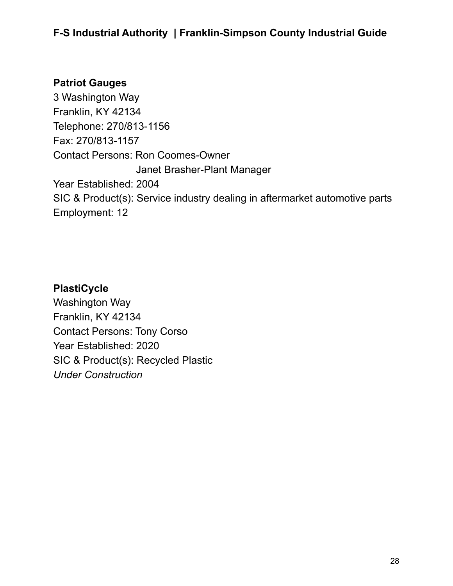### **Patriot Gauges**

3 Washington Way Franklin, KY 42134 Telephone: 270/813-1156 Fax: 270/813-1157 Contact Persons: Ron Coomes-Owner Janet Brasher-Plant Manager Year Established: 2004 SIC & Product(s): Service industry dealing in aftermarket automotive parts Employment: 12

#### **PlastiCycle**

Washington Way Franklin, KY 42134 Contact Persons: Tony Corso Year Established: 2020 SIC & Product(s): Recycled Plastic *Under Construction*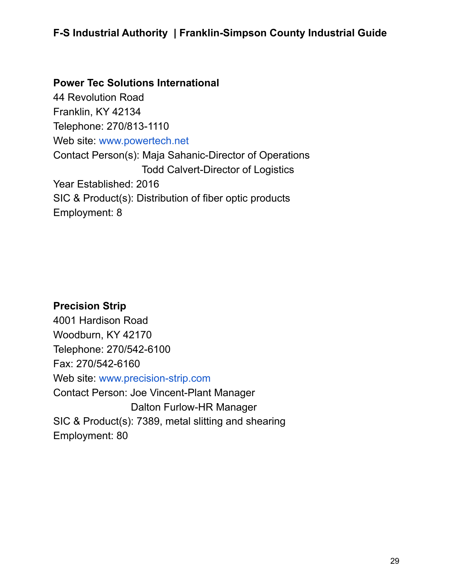**Power Tec Solutions International** 44 Revolution Road Franklin, KY 42134 Telephone: 270/813-1110 Web site: [www.powertech.net](http://www.powertech.net) Contact Person(s): Maja Sahanic-Director of Operations Todd Calvert-Director of Logistics Year Established: 2016 SIC & Product(s): Distribution of fiber optic products Employment: 8

**Precision Strip** 4001 Hardison Road Woodburn, KY 42170 Telephone: 270/542-6100 Fax: 270/542-6160 Web site: [www.precision-strip.com](http://www.precision-strip.com) Contact Person: Joe Vincent-Plant Manager Dalton Furlow-HR Manager SIC & Product(s): 7389, metal slitting and shearing Employment: 80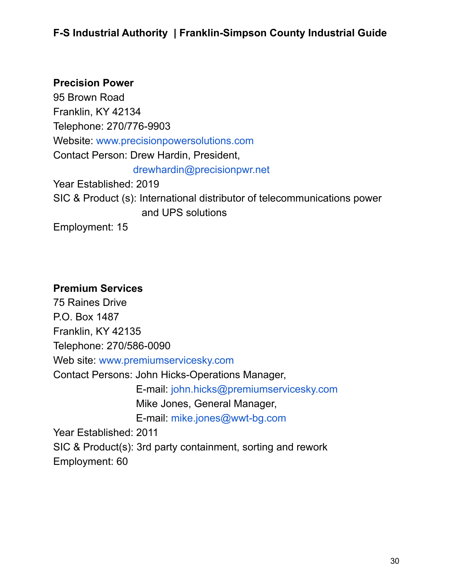#### **Precision Power**

95 Brown Road Franklin, KY 42134 Telephone: 270/776-9903 Website: [www.precisionpowersolutions.com](http://www.precisionpowersolutions.com) Contact Person: Drew Hardin, President, [drewhardin@precisionpwr.net](mailto:drewhardin@precisionpwr.net) Year Established: 2019 SIC & Product (s): International distributor of telecommunications power and UPS solutions Employment: 15

#### **Premium Services**

75 Raines Drive P.O. Box 1487 Franklin, KY 42135 Telephone: 270/586-0090 Web site: [www.premiumservicesky.com](http://www.premiumservicesky.com) Contact Persons: John Hicks-Operations Manager, E-mail: [john.hicks@premiumservicesky.com](mailto:john.hicks@premiumservicesky.com) Mike Jones, General Manager, E-mail: [mike.jones@wwt-bg.com](mailto:mike.jones@wwt-bg.com) Year Established: 2011 SIC & Product(s): 3rd party containment, sorting and rework Employment: 60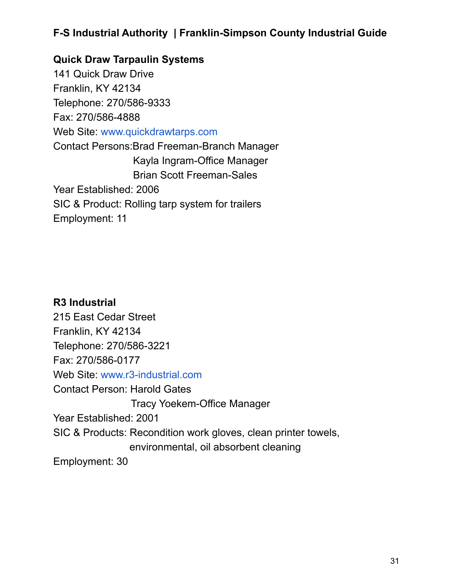**Quick Draw Tarpaulin Systems** 141 Quick Draw Drive Franklin, KY 42134 Telephone: 270/586-9333 Fax: 270/586-4888 Web Site: [www.quickdrawtarps.com](http://www.quickdrawtarps.com) Contact Persons:Brad Freeman-Branch Manager Kayla Ingram-Office Manager Brian Scott Freeman-Sales Year Established: 2006 SIC & Product: Rolling tarp system for trailers Employment: 11

**R3 Industrial** 215 East Cedar Street Franklin, KY 42134 Telephone: 270/586-3221 Fax: 270/586-0177 Web Site: [www.r3-industrial.com](http://www.r3-industrial.com) Contact Person: Harold Gates Tracy Yoekem-Office Manager Year Established: 2001 SIC & Products: Recondition work gloves, clean printer towels, environmental, oil absorbent cleaning Employment: 30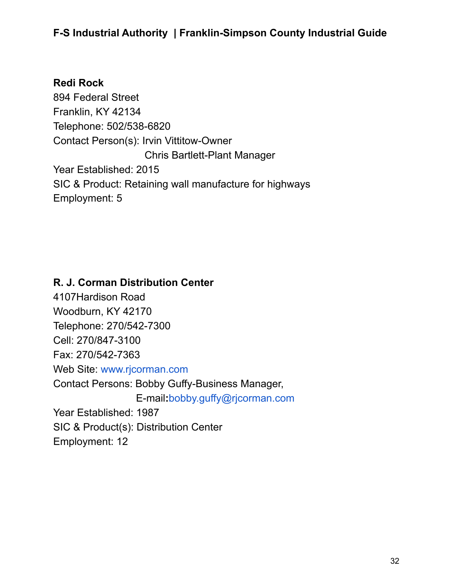#### **Redi Rock**

894 Federal Street Franklin, KY 42134 Telephone: 502/538-6820 Contact Person(s): Irvin Vittitow-Owner Chris Bartlett-Plant Manager Year Established: 2015 SIC & Product: Retaining wall manufacture for highways Employment: 5

#### **R. J. Corman Distribution Center**

4107Hardison Road Woodburn, KY 42170 Telephone: 270/542-7300 Cell: 270/847-3100 Fax: 270/542-7363 Web Site: [www.rjcorman.com](http://www.rjcorman.com) Contact Persons: Bobby Guffy-Business Manager, E-mail**:**[bobby.guffy@rjcorman.com](mailto:bobby.guffy@rjcorman.com) Year Established: 1987 SIC & Product(s): Distribution Center Employment: 12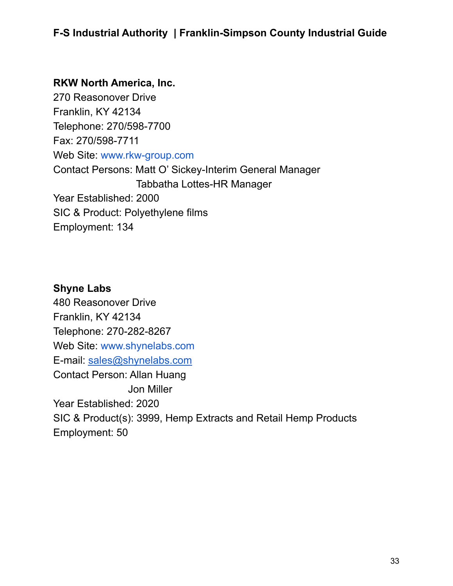#### **RKW North America, Inc.**

270 Reasonover Drive Franklin, KY 42134 Telephone: 270/598-7700 Fax: 270/598-7711 Web Site: [www.rkw-group.com](http://www.rkw-group.com) Contact Persons: Matt O' Sickey-Interim General Manager Tabbatha Lottes-HR Manager Year Established: 2000 SIC & Product: Polyethylene films Employment: 134

#### **Shyne Labs**

480 Reasonover Drive Franklin, KY 42134 Telephone: 270-282-8267 Web Site: [www.shynelabs.com](http://www.shynelabs.com) E-mail: [sales@shynelabs.com](mailto:sales@shynelabs.com) Contact Person: Allan Huang Jon Miller Year Established: 2020 SIC & Product(s): 3999, Hemp Extracts and Retail Hemp Products Employment: 50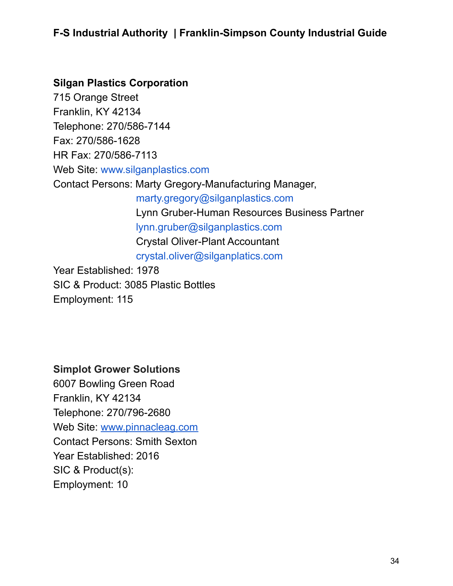### **Silgan Plastics Corporation**

715 Orange Street Franklin, KY 42134 Telephone: 270/586-7144 Fax: 270/586-1628 HR Fax: 270/586-7113 Web Site: [www.silganplastics.com](http://www.silganplastics.com) Contact Persons: Marty Gregory-Manufacturing Manager, [marty.gregory@silganplastics.com](mailto:marty.gregory@silganplastics.com) Lynn Gruber-Human Resources Business Partner [lynn.gruber@silganplastics.com](mailto:lynn.gruber@silganplastics.com) Crystal Oliver-Plant Accountant [crystal.oliver@silganplatics.com](mailto:crystal.oliver@silganplatics.com) Year Established: 1978 SIC & Product: 3085 Plastic Bottles

## **Simplot Grower Solutions**

Employment: 115

6007 Bowling Green Road Franklin, KY 42134 Telephone: 270/796-2680 Web Site: [www.pinnacleag.com](http://www.pinnacleag.com) Contact Persons: Smith Sexton Year Established: 2016 SIC & Product(s): Employment: 10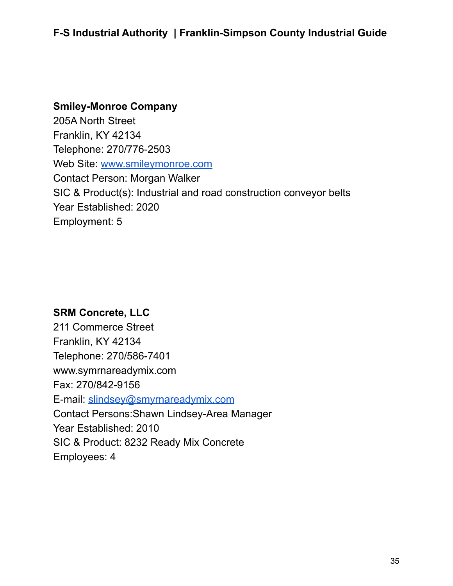### **Smiley-Monroe Company** 205A North Street Franklin, KY 42134 Telephone: 270/776-2503 Web Site: [www.smileymonroe.com](http://www.smileymonroe.com) Contact Person: Morgan Walker SIC & Product(s): Industrial and road construction conveyor belts Year Established: 2020 Employment: 5

#### **SRM Concrete, LLC**

211 Commerce Street Franklin, KY 42134 Telephone: 270/586-7401 www.symrnareadymix.com Fax: 270/842-9156 E-mail: [slindsey@smyrnareadymix.com](mailto:slindsey@smyrnareadymix.com) Contact Persons:Shawn Lindsey-Area Manager Year Established: 2010 SIC & Product: 8232 Ready Mix Concrete Employees: 4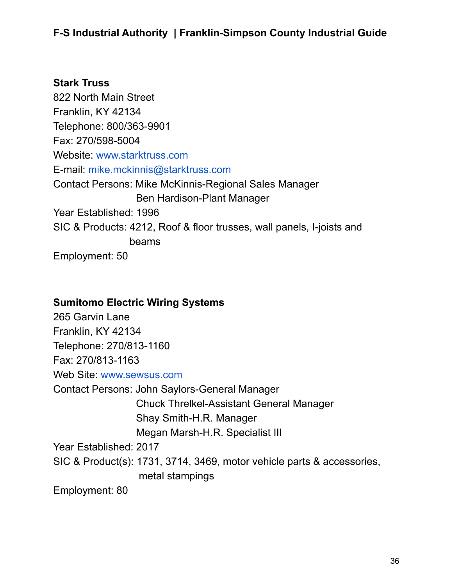#### **Stark Truss**

822 North Main Street Franklin, KY 42134 Telephone: 800/363-9901 Fax: 270/598-5004 Website: [www.starktruss.com](http://www.starktruss.com) E-mail: [mike.mckinnis@starktruss.com](mailto:mike.mckinnis@starktruss.com) Contact Persons: Mike McKinnis-Regional Sales Manager Ben Hardison-Plant Manager Year Established: 1996 SIC & Products: 4212, Roof & floor trusses, wall panels, I-joists and beams Employment: 50

#### **Sumitomo Electric Wiring Systems**

265 Garvin Lane Franklin, KY 42134 Telephone: 270/813-1160 Fax: 270/813-1163 Web Site: [www.sewsus.com](http://www.sewsus.com) Contact Persons: John Saylors-General Manager Chuck Threlkel-Assistant General Manager Shay Smith-H.R. Manager Megan Marsh-H.R. Specialist III Year Established: 2017 SIC & Product(s): 1731, 3714, 3469, motor vehicle parts & accessories, metal stampings Employment: 80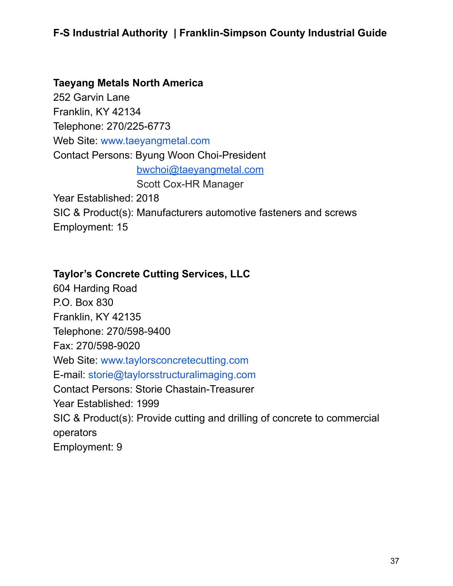### **Taeyang Metals North America** 252 Garvin Lane Franklin, KY 42134 Telephone: 270/225-6773 Web Site: [www.taeyangmetal.com](http://www.taeyangmetal.com) Contact Persons: Byung Woon Choi-President [bwchoi@taeyangmetal.com](mailto:bwchoi@taeyangmetal.com) Scott Cox-HR Manager Year Established: 2018 SIC & Product(s): Manufacturers automotive fasteners and screws Employment: 15

#### **Taylor's Concrete Cutting Services, LLC**

604 Harding Road P.O. Box 830 Franklin, KY 42135 Telephone: 270/598-9400 Fax: 270/598-9020 Web Site: [www.taylorsconcretecutting.com](http://www.taylorsconcretecutting.com) E-mail: [storie@taylorsstructuralimaging.com](mailto:storie@taylorsstructuralimaging.com) Contact Persons: Storie Chastain-Treasurer Year Established: 1999 SIC & Product(s): Provide cutting and drilling of concrete to commercial operators Employment: 9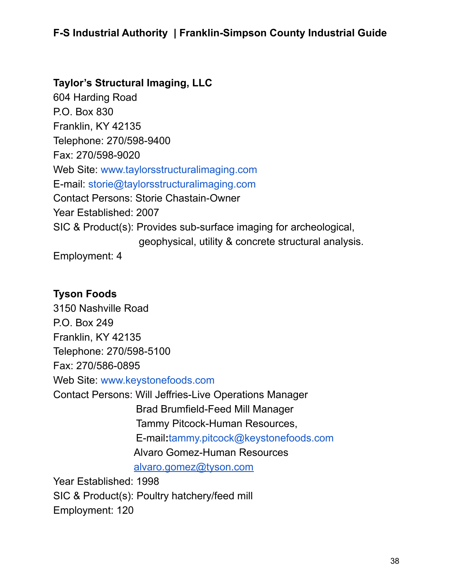#### **Taylor's Structural Imaging, LLC**

604 Harding Road P.O. Box 830 Franklin, KY 42135 Telephone: 270/598-9400 Fax: 270/598-9020 Web Site: [www.taylorsstructuralimaging.com](http://www.taylorsstructuralimaging.com) E-mail: [storie@taylorsstructuralimaging.com](mailto:storie@taylorsstructuralimaging.com) Contact Persons: Storie Chastain-Owner Year Established: 2007 SIC & Product(s): Provides sub-surface imaging for archeological, geophysical, utility & concrete structural analysis. Employment: 4

#### **Tyson Foods**

3150 Nashville Road P.O. Box 249 Franklin, KY 42135 Telephone: 270/598-5100 Fax: 270/586-0895 Web Site: [www.keystonefoods.com](http://www.keystonefoods.com) Contact Persons: Will Jeffries-Live Operations Manager Brad Brumfield-Feed Mill Manager Tammy Pitcock-Human Resources, E-mail**:**[tammy.pitcock@keystonefoods.com](mailto:tammy.pitcock@keystonefoods.com) Alvaro Gomez-Human Resources [alvaro.gomez@tyson.com](mailto:alvaro.gomez@tyson.com)

Year Established: 1998 SIC & Product(s): Poultry hatchery/feed mill Employment: 120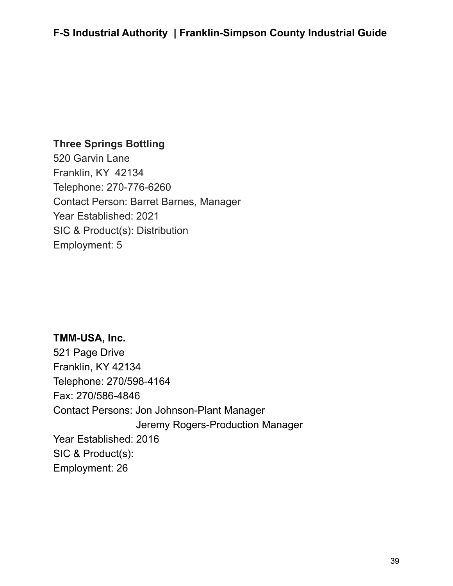#### **Three Springs Bottling**

520 Garvin Lane Franklin, KY 42134 Telephone: 270-776-6260 Contact Person: Barret Barnes, Manager Year Established: 2021 SIC & Product(s): Distribution Employment: 5

#### **TMM-USA, Inc.**

521 Page Drive Franklin, KY 42134 Telephone: 270/598-4164 Fax: 270/586-4846 Contact Persons: Jon Johnson-Plant Manager Jeremy Rogers-Production Manager Year Established: 2016 SIC & Product(s): Employment: 26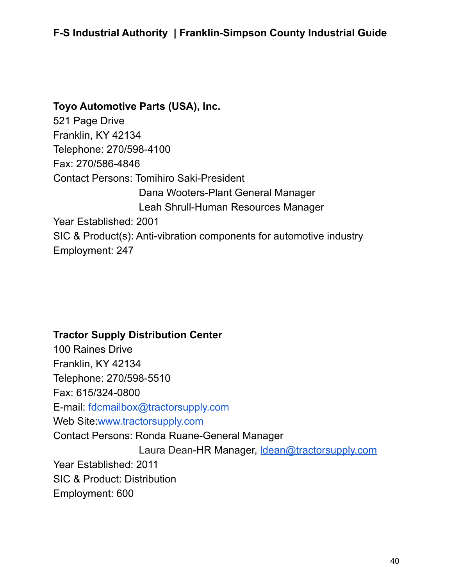### **Toyo Automotive Parts (USA), Inc.**

521 Page Drive Franklin, KY 42134 Telephone: 270/598-4100 Fax: 270/586-4846 Contact Persons: Tomihiro Saki-President Dana Wooters-Plant General Manager Leah Shrull-Human Resources Manager Year Established: 2001 SIC & Product(s): Anti-vibration components for automotive industry Employment: 247

#### **Tractor Supply Distribution Center**

100 Raines Drive Franklin, KY 42134 Telephone: 270/598-5510 Fax: 615/324-0800 E-mail: [fdcmailbox@tractorsupply.com](mailto:fdcmailbox@tractorsupply.com) Web Site[:www.tractorsupply.com](http://www.tractorsupply.com) Contact Persons: Ronda Ruane-General Manager Laura Dean-HR Manager, [ldean@tractorsupply.com](mailto:ldean@tractorsupply.com) Year Established: 2011 SIC & Product: Distribution Employment: 600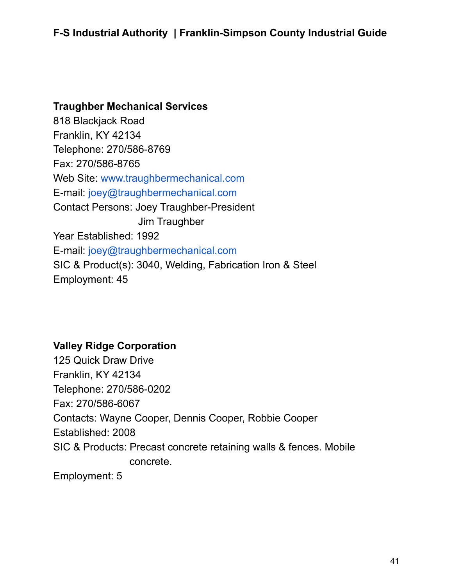**Traughber Mechanical Services** 818 Blackjack Road Franklin, KY 42134 Telephone: 270/586-8769 Fax: 270/586-8765 Web Site: [www.traughbermechanical.com](http://www.traughbermechanical.com) E-mail: [joey@traughbermechanical.com](mailto:jim@traughbermechanical.com) Contact Persons: Joey Traughber-President Jim Traughber Year Established: 1992 E-mail: [joey@traughbermechanical.com](mailto:joey@traughbermechanical.com) SIC & Product(s): 3040, Welding, Fabrication Iron & Steel Employment: 45

### **Valley Ridge Corporation**

125 Quick Draw Drive Franklin, KY 42134 Telephone: 270/586-0202 Fax: 270/586-6067 Contacts: Wayne Cooper, Dennis Cooper, Robbie Cooper Established: 2008 SIC & Products: Precast concrete retaining walls & fences. Mobile concrete. Employment: 5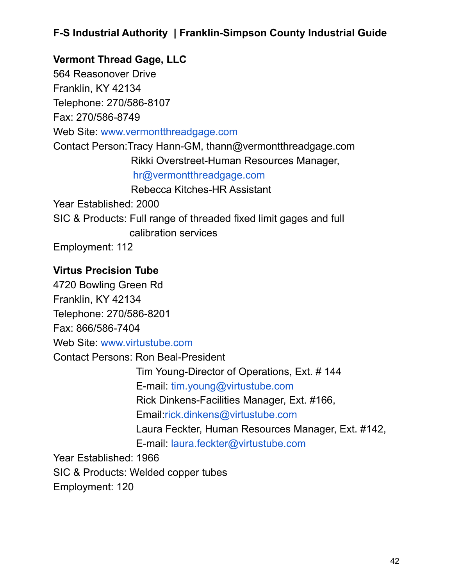**Vermont Thread Gage, LLC** 564 Reasonover Drive Franklin, KY 42134 Telephone: 270/586-8107 Fax: 270/586-8749 Web Site: [www.vermontthreadgage.com](http://www.vermontthreadgage.com) Contact Person:Tracy Hann-GM, thann@vermontthreadgage.com Rikki Overstreet-Human Resources Manager, [hr@vermontthreadgage.com](mailto:hr@vermontthreadgage.com) Rebecca Kitches-HR Assistant Year Established: 2000 SIC & Products: Full range of threaded fixed limit gages and full calibration services Employment: 112

#### **Virtus Precision Tube**

4720 Bowling Green Rd Franklin, KY 42134 Telephone: 270/586-8201 Fax: 866/586-7404 Web Site: [www.virtustube.com](http://www.virtustube.com) Contact Persons: Ron Beal-President Tim Young-Director of Operations, Ext. # 144 E-mail: [tim.young@virtustube.com](mailto:tim.young@virtustube.com) Rick Dinkens-Facilities Manager, Ext. #166, Email:[rick.dinkens@virtustube.com](mailto:rick.dinkens@virtustube.com) Laura Feckter, Human Resources Manager, Ext. #142, E-mail: [laura.feckter@virtustube.com](mailto:laura.feckter@virtustube.com) Year Established: 1966 SIC & Products: Welded copper tubes

Employment: 120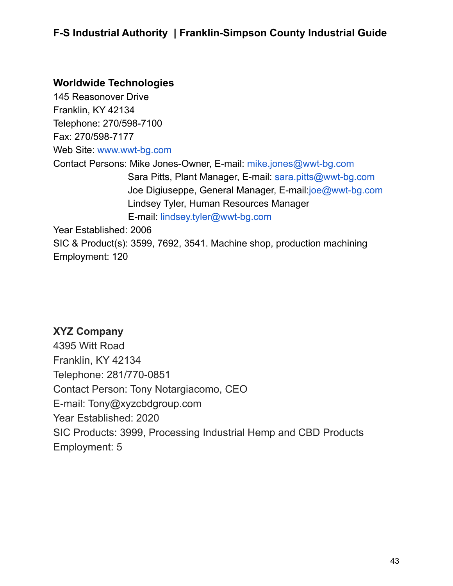#### **Worldwide Technologies**

145 Reasonover Drive Franklin, KY 42134 Telephone: 270/598-7100 Fax: 270/598-7177 Web Site: [www.wwt-bg.com](http://www.wwt-bg.com) Contact Persons: Mike Jones-Owner, E-mail: [mike.jones@wwt-bg.com](mailto:mike.jones@wwt-bg.com) Sara Pitts, Plant Manager, E-mail: [sara.pitts@wwt-bg.com](mailto:sara.pitts@wwt-bg.com) Joe Digiuseppe, General Manager, E-mail:[joe@wwt-bg.com](mailto:joe@wwt-bg.com) Lindsey Tyler, Human Resources Manager E-mail: [lindsey.tyler@wwt-bg.com](mailto:lindsey.tyler@wwt-bg.com) Year Established: 2006 SIC & Product(s): 3599, 7692, 3541. Machine shop, production machining Employment: 120

#### **XYZ Company**

4395 Witt Road Franklin, KY 42134 Telephone: 281/770-0851 Contact Person: Tony Notargiacomo, CEO E-mail: Tony@xyzcbdgroup.com Year Established: 2020 SIC Products: 3999, Processing Industrial Hemp and CBD Products Employment: 5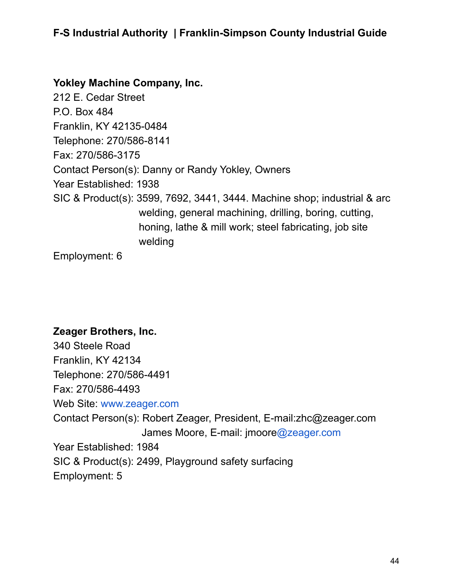#### **Yokley Machine Company, Inc.**

212 E. Cedar Street P.O. Box 484 Franklin, KY 42135-0484 Telephone: 270/586-8141 Fax: 270/586-3175 Contact Person(s): Danny or Randy Yokley, Owners Year Established: 1938 SIC & Product(s): 3599, 7692, 3441, 3444. Machine shop; industrial & arc welding, general machining, drilling, boring, cutting, honing, lathe & mill work; steel fabricating, job site welding

Employment: 6

#### **Zeager Brothers, Inc.**

340 Steele Road Franklin, KY 42134 Telephone: 270/586-4491 Fax: 270/586-4493 Web Site: [www.zeager.com](http://www.zeager.com) Contact Person(s): Robert Zeager, President, E-mail:zhc@zeager.com James Moore, E-mail: jmoor[e@zeager.com](mailto:cgass@zeager.com) Year Established: 1984 SIC & Product(s): 2499, Playground safety surfacing Employment: 5